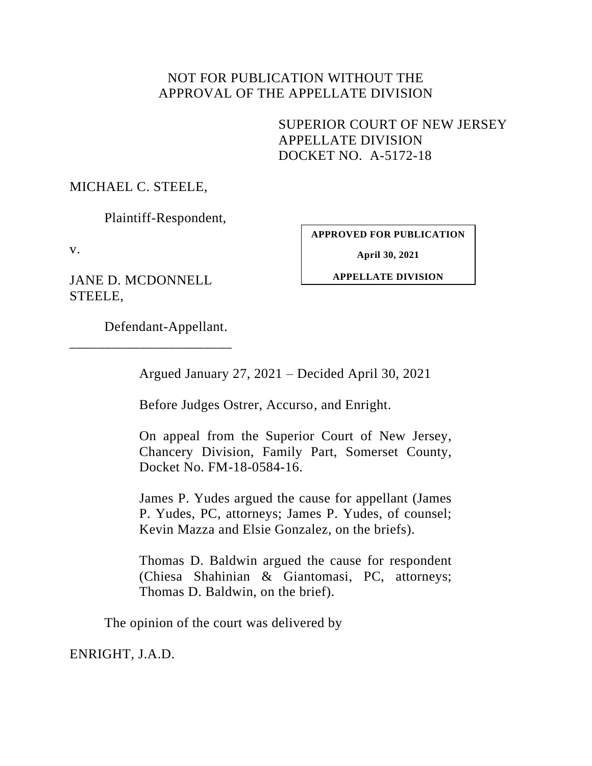# NOT FOR PUBLICATION WITHOUT THE APPROVAL OF THE APPELLATE DIVISION

SUPERIOR COURT OF NEW JERSEY APPELLATE DIVISION DOCKET NO. A-5172-18

MICHAEL C. STEELE,

Plaintiff-Respondent,

v.

JANE D. MCDONNELL STEELE,

**APPROVED FOR PUBLICATION**

**April 30, 2021**

**APPELLATE DIVISION**

Defendant-Appellant.

\_\_\_\_\_\_\_\_\_\_\_\_\_\_\_\_\_\_\_\_\_\_\_

Argued January 27, 2021 – Decided April 30, 2021

Before Judges Ostrer, Accurso, and Enright.

On appeal from the Superior Court of New Jersey, Chancery Division, Family Part, Somerset County, Docket No. FM-18-0584-16.

James P. Yudes argued the cause for appellant (James P. Yudes, PC, attorneys; James P. Yudes, of counsel; Kevin Mazza and Elsie Gonzalez, on the briefs).

Thomas D. Baldwin argued the cause for respondent (Chiesa Shahinian & Giantomasi, PC, attorneys; Thomas D. Baldwin, on the brief).

The opinion of the court was delivered by

ENRIGHT, J.A.D.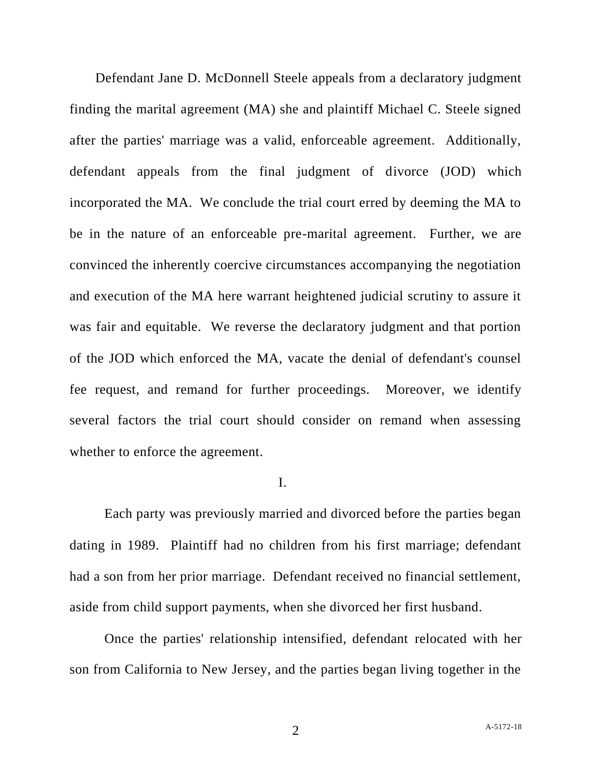Defendant Jane D. McDonnell Steele appeals from a declaratory judgment finding the marital agreement (MA) she and plaintiff Michael C. Steele signed after the parties' marriage was a valid, enforceable agreement. Additionally, defendant appeals from the final judgment of divorce (JOD) which incorporated the MA. We conclude the trial court erred by deeming the MA to be in the nature of an enforceable pre-marital agreement. Further, we are convinced the inherently coercive circumstances accompanying the negotiation and execution of the MA here warrant heightened judicial scrutiny to assure it was fair and equitable. We reverse the declaratory judgment and that portion of the JOD which enforced the MA, vacate the denial of defendant's counsel fee request, and remand for further proceedings. Moreover, we identify several factors the trial court should consider on remand when assessing whether to enforce the agreement.

#### I.

Each party was previously married and divorced before the parties began dating in 1989. Plaintiff had no children from his first marriage; defendant had a son from her prior marriage. Defendant received no financial settlement, aside from child support payments, when she divorced her first husband.

Once the parties' relationship intensified, defendant relocated with her son from California to New Jersey, and the parties began living together in the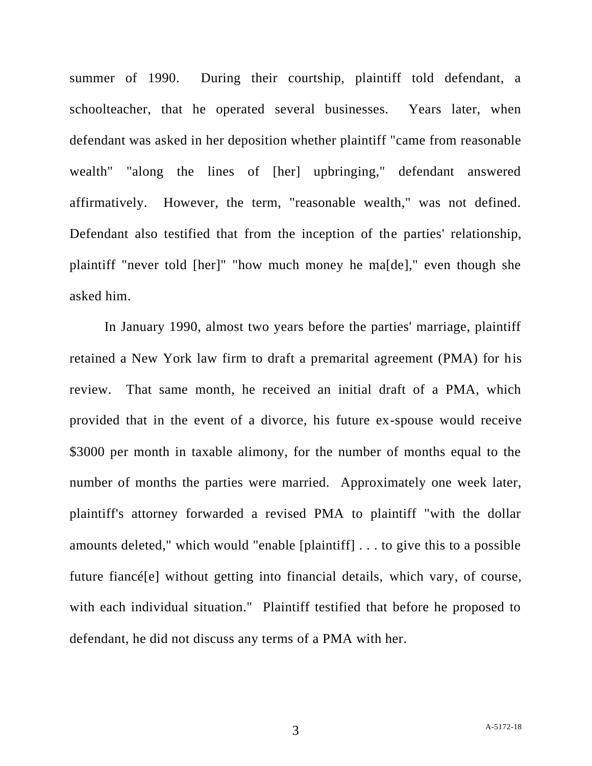summer of 1990. During their courtship, plaintiff told defendant, a schoolteacher, that he operated several businesses. Years later, when defendant was asked in her deposition whether plaintiff "came from reasonable wealth" "along the lines of [her] upbringing," defendant answered affirmatively. However, the term, "reasonable wealth," was not defined. Defendant also testified that from the inception of the parties' relationship, plaintiff "never told [her]" "how much money he ma[de]," even though she asked him.

In January 1990, almost two years before the parties' marriage, plaintiff retained a New York law firm to draft a premarital agreement (PMA) for his review. That same month, he received an initial draft of a PMA, which provided that in the event of a divorce, his future ex-spouse would receive \$3000 per month in taxable alimony, for the number of months equal to the number of months the parties were married. Approximately one week later, plaintiff's attorney forwarded a revised PMA to plaintiff "with the dollar amounts deleted," which would "enable [plaintiff] . . . to give this to a possible future fiancé[e] without getting into financial details, which vary, of course, with each individual situation." Plaintiff testified that before he proposed to defendant, he did not discuss any terms of a PMA with her.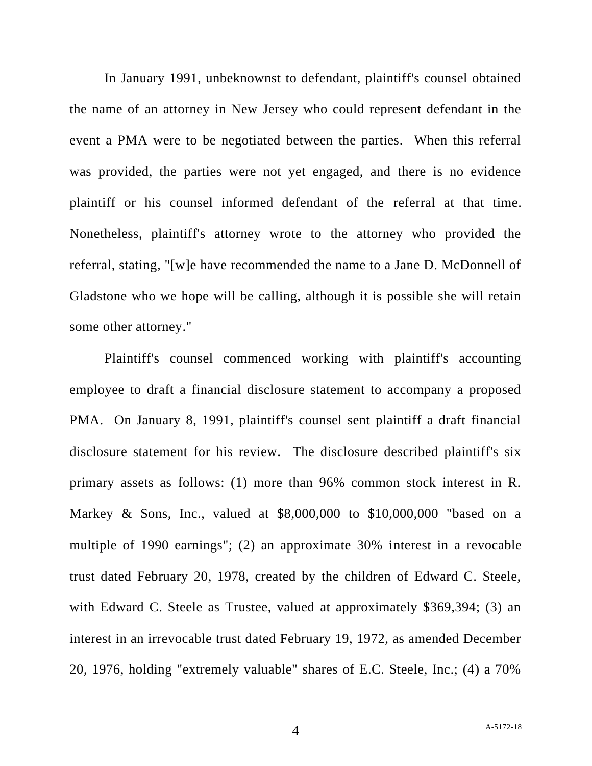In January 1991, unbeknownst to defendant, plaintiff's counsel obtained the name of an attorney in New Jersey who could represent defendant in the event a PMA were to be negotiated between the parties. When this referral was provided, the parties were not yet engaged, and there is no evidence plaintiff or his counsel informed defendant of the referral at that time. Nonetheless, plaintiff's attorney wrote to the attorney who provided the referral, stating, "[w]e have recommended the name to a Jane D. McDonnell of Gladstone who we hope will be calling, although it is possible she will retain some other attorney."

Plaintiff's counsel commenced working with plaintiff's accounting employee to draft a financial disclosure statement to accompany a proposed PMA. On January 8, 1991, plaintiff's counsel sent plaintiff a draft financial disclosure statement for his review. The disclosure described plaintiff's six primary assets as follows: (1) more than 96% common stock interest in R. Markey & Sons, Inc., valued at \$8,000,000 to \$10,000,000 "based on a multiple of 1990 earnings"; (2) an approximate 30% interest in a revocable trust dated February 20, 1978, created by the children of Edward C. Steele, with Edward C. Steele as Trustee, valued at approximately \$369,394; (3) an interest in an irrevocable trust dated February 19, 1972, as amended December 20, 1976, holding "extremely valuable" shares of E.C. Steele, Inc.; (4) a 70%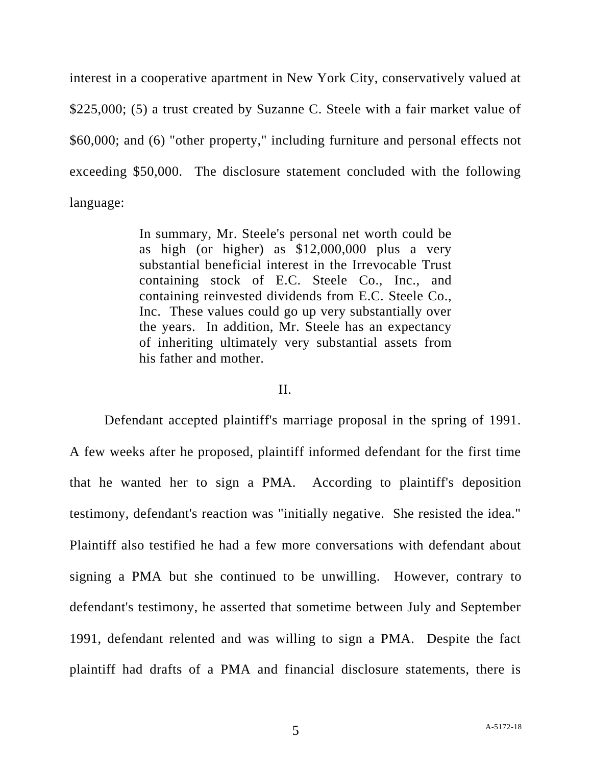interest in a cooperative apartment in New York City, conservatively valued at \$225,000; (5) a trust created by Suzanne C. Steele with a fair market value of \$60,000; and (6) "other property," including furniture and personal effects not exceeding \$50,000. The disclosure statement concluded with the following language:

> In summary, Mr. Steele's personal net worth could be as high (or higher) as \$12,000,000 plus a very substantial beneficial interest in the Irrevocable Trust containing stock of E.C. Steele Co., Inc., and containing reinvested dividends from E.C. Steele Co., Inc. These values could go up very substantially over the years. In addition, Mr. Steele has an expectancy of inheriting ultimately very substantial assets from his father and mother.

### II.

Defendant accepted plaintiff's marriage proposal in the spring of 1991. A few weeks after he proposed, plaintiff informed defendant for the first time that he wanted her to sign a PMA. According to plaintiff's deposition testimony, defendant's reaction was "initially negative. She resisted the idea." Plaintiff also testified he had a few more conversations with defendant about signing a PMA but she continued to be unwilling. However, contrary to defendant's testimony, he asserted that sometime between July and September 1991, defendant relented and was willing to sign a PMA. Despite the fact plaintiff had drafts of a PMA and financial disclosure statements, there is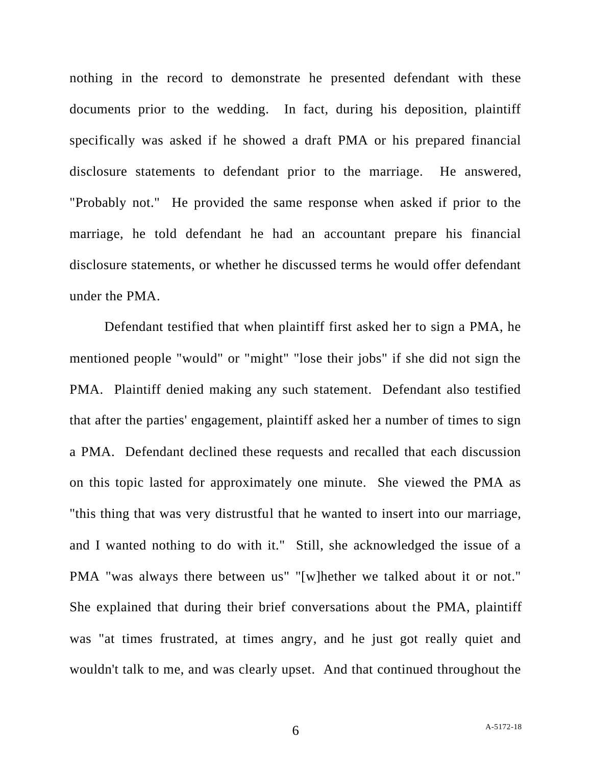nothing in the record to demonstrate he presented defendant with these documents prior to the wedding. In fact, during his deposition, plaintiff specifically was asked if he showed a draft PMA or his prepared financial disclosure statements to defendant prior to the marriage. He answered, "Probably not." He provided the same response when asked if prior to the marriage, he told defendant he had an accountant prepare his financial disclosure statements, or whether he discussed terms he would offer defendant under the PMA.

Defendant testified that when plaintiff first asked her to sign a PMA, he mentioned people "would" or "might" "lose their jobs" if she did not sign the PMA. Plaintiff denied making any such statement. Defendant also testified that after the parties' engagement, plaintiff asked her a number of times to sign a PMA. Defendant declined these requests and recalled that each discussion on this topic lasted for approximately one minute. She viewed the PMA as "this thing that was very distrustful that he wanted to insert into our marriage, and I wanted nothing to do with it." Still, she acknowledged the issue of a PMA "was always there between us" "[w]hether we talked about it or not." She explained that during their brief conversations about the PMA, plaintiff was "at times frustrated, at times angry, and he just got really quiet and wouldn't talk to me, and was clearly upset. And that continued throughout the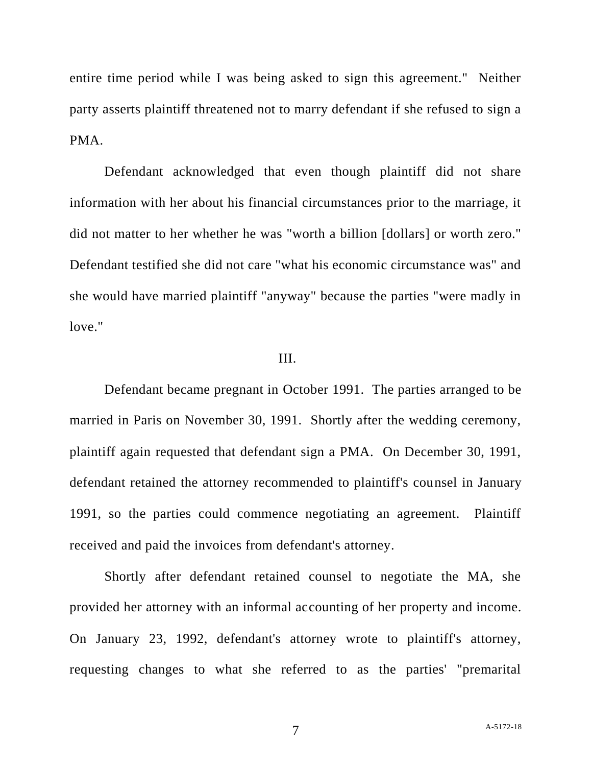entire time period while I was being asked to sign this agreement." Neither party asserts plaintiff threatened not to marry defendant if she refused to sign a PMA.

Defendant acknowledged that even though plaintiff did not share information with her about his financial circumstances prior to the marriage, it did not matter to her whether he was "worth a billion [dollars] or worth zero." Defendant testified she did not care "what his economic circumstance was" and she would have married plaintiff "anyway" because the parties "were madly in love."

#### III.

Defendant became pregnant in October 1991. The parties arranged to be married in Paris on November 30, 1991. Shortly after the wedding ceremony, plaintiff again requested that defendant sign a PMA. On December 30, 1991, defendant retained the attorney recommended to plaintiff's counsel in January 1991, so the parties could commence negotiating an agreement. Plaintiff received and paid the invoices from defendant's attorney.

Shortly after defendant retained counsel to negotiate the MA, she provided her attorney with an informal accounting of her property and income. On January 23, 1992, defendant's attorney wrote to plaintiff's attorney, requesting changes to what she referred to as the parties' "premarital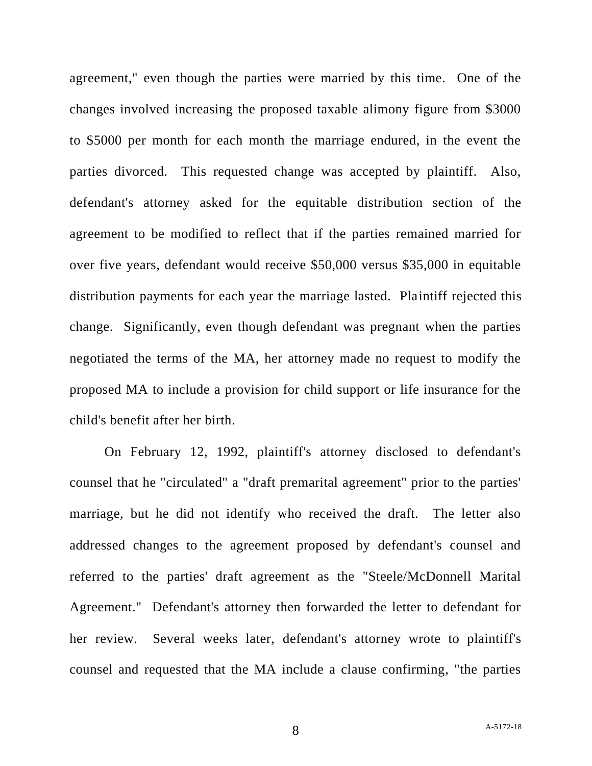agreement," even though the parties were married by this time. One of the changes involved increasing the proposed taxable alimony figure from \$3000 to \$5000 per month for each month the marriage endured, in the event the parties divorced. This requested change was accepted by plaintiff. Also, defendant's attorney asked for the equitable distribution section of the agreement to be modified to reflect that if the parties remained married for over five years, defendant would receive \$50,000 versus \$35,000 in equitable distribution payments for each year the marriage lasted. Plaintiff rejected this change. Significantly, even though defendant was pregnant when the parties negotiated the terms of the MA, her attorney made no request to modify the proposed MA to include a provision for child support or life insurance for the child's benefit after her birth.

On February 12, 1992, plaintiff's attorney disclosed to defendant's counsel that he "circulated" a "draft premarital agreement" prior to the parties' marriage, but he did not identify who received the draft. The letter also addressed changes to the agreement proposed by defendant's counsel and referred to the parties' draft agreement as the "Steele/McDonnell Marital Agreement." Defendant's attorney then forwarded the letter to defendant for her review. Several weeks later, defendant's attorney wrote to plaintiff's counsel and requested that the MA include a clause confirming, "the parties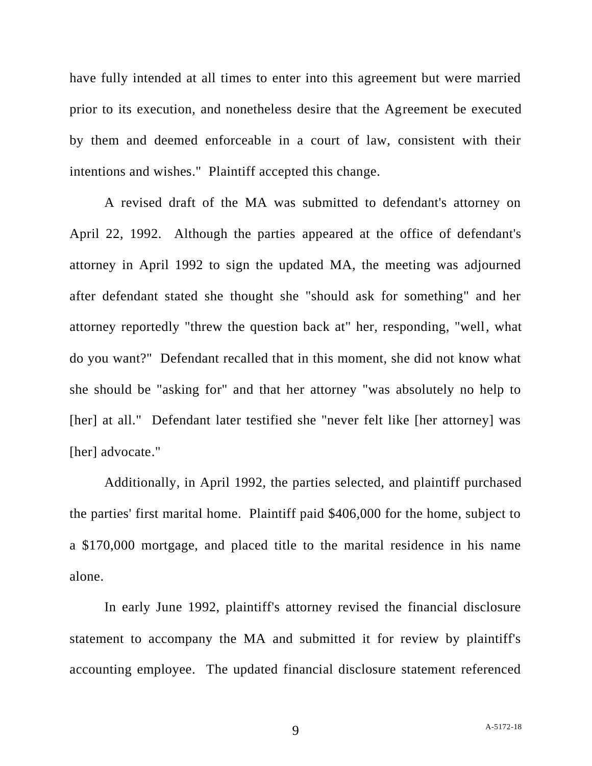have fully intended at all times to enter into this agreement but were married prior to its execution, and nonetheless desire that the Agreement be executed by them and deemed enforceable in a court of law, consistent with their intentions and wishes." Plaintiff accepted this change.

A revised draft of the MA was submitted to defendant's attorney on April 22, 1992. Although the parties appeared at the office of defendant's attorney in April 1992 to sign the updated MA, the meeting was adjourned after defendant stated she thought she "should ask for something" and her attorney reportedly "threw the question back at" her, responding, "well, what do you want?" Defendant recalled that in this moment, she did not know what she should be "asking for" and that her attorney "was absolutely no help to [her] at all." Defendant later testified she "never felt like [her attorney] was [her] advocate."

Additionally, in April 1992, the parties selected, and plaintiff purchased the parties' first marital home. Plaintiff paid \$406,000 for the home, subject to a \$170,000 mortgage, and placed title to the marital residence in his name alone.

In early June 1992, plaintiff's attorney revised the financial disclosure statement to accompany the MA and submitted it for review by plaintiff's accounting employee. The updated financial disclosure statement referenced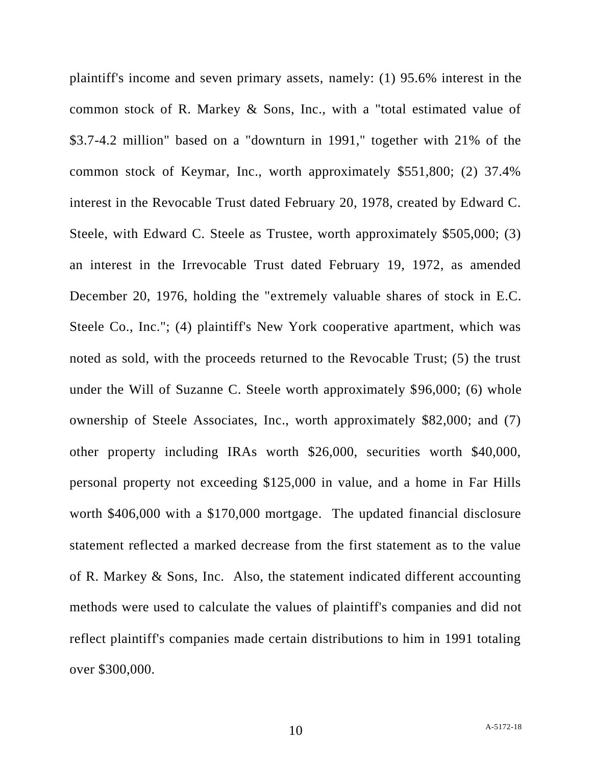plaintiff's income and seven primary assets, namely: (1) 95.6% interest in the common stock of R. Markey & Sons, Inc., with a "total estimated value of \$3.7-4.2 million" based on a "downturn in 1991," together with 21% of the common stock of Keymar, Inc., worth approximately \$551,800; (2) 37.4% interest in the Revocable Trust dated February 20, 1978, created by Edward C. Steele, with Edward C. Steele as Trustee, worth approximately \$505,000; (3) an interest in the Irrevocable Trust dated February 19, 1972, as amended December 20, 1976, holding the "extremely valuable shares of stock in E.C. Steele Co., Inc."; (4) plaintiff's New York cooperative apartment, which was noted as sold, with the proceeds returned to the Revocable Trust; (5) the trust under the Will of Suzanne C. Steele worth approximately \$96,000; (6) whole ownership of Steele Associates, Inc., worth approximately \$82,000; and (7) other property including IRAs worth \$26,000, securities worth \$40,000, personal property not exceeding \$125,000 in value, and a home in Far Hills worth \$406,000 with a \$170,000 mortgage. The updated financial disclosure statement reflected a marked decrease from the first statement as to the value of R. Markey & Sons, Inc. Also, the statement indicated different accounting methods were used to calculate the values of plaintiff's companies and did not reflect plaintiff's companies made certain distributions to him in 1991 totaling over \$300,000.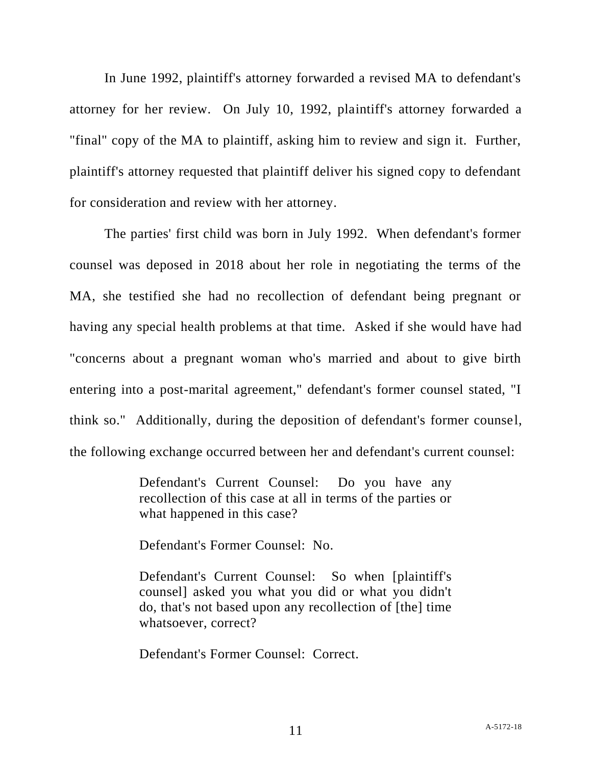In June 1992, plaintiff's attorney forwarded a revised MA to defendant's attorney for her review. On July 10, 1992, plaintiff's attorney forwarded a "final" copy of the MA to plaintiff, asking him to review and sign it. Further, plaintiff's attorney requested that plaintiff deliver his signed copy to defendant for consideration and review with her attorney.

The parties' first child was born in July 1992. When defendant's former counsel was deposed in 2018 about her role in negotiating the terms of the MA, she testified she had no recollection of defendant being pregnant or having any special health problems at that time. Asked if she would have had "concerns about a pregnant woman who's married and about to give birth entering into a post-marital agreement," defendant's former counsel stated, "I think so." Additionally, during the deposition of defendant's former counsel, the following exchange occurred between her and defendant's current counsel:

> Defendant's Current Counsel: Do you have any recollection of this case at all in terms of the parties or what happened in this case?

Defendant's Former Counsel: No.

Defendant's Current Counsel: So when [plaintiff's counsel] asked you what you did or what you didn't do, that's not based upon any recollection of [the] time whatsoever, correct?

Defendant's Former Counsel: Correct.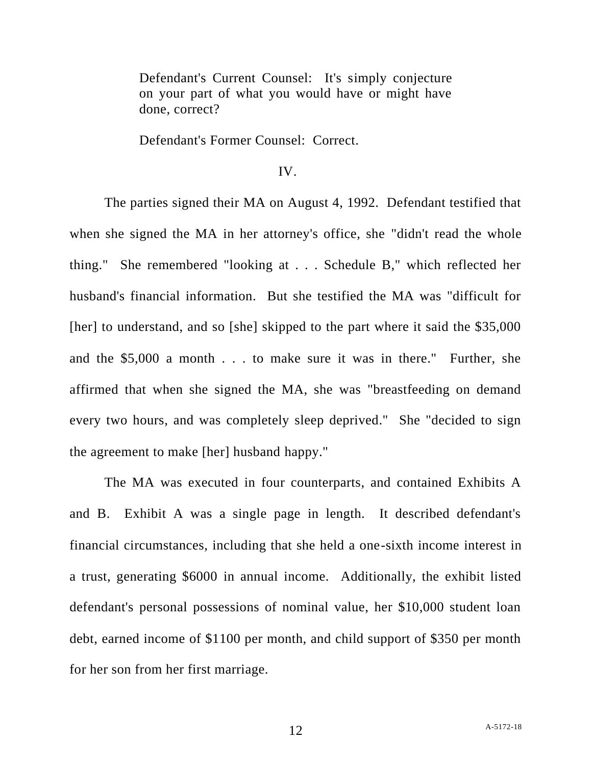Defendant's Current Counsel: It's simply conjecture on your part of what you would have or might have done, correct?

Defendant's Former Counsel: Correct.

### IV.

The parties signed their MA on August 4, 1992. Defendant testified that when she signed the MA in her attorney's office, she "didn't read the whole thing." She remembered "looking at . . . Schedule B," which reflected her husband's financial information. But she testified the MA was "difficult for [her] to understand, and so [she] skipped to the part where it said the \$35,000 and the \$5,000 a month . . . to make sure it was in there." Further, she affirmed that when she signed the MA, she was "breastfeeding on demand every two hours, and was completely sleep deprived." She "decided to sign the agreement to make [her] husband happy."

The MA was executed in four counterparts, and contained Exhibits A and B. Exhibit A was a single page in length. It described defendant's financial circumstances, including that she held a one-sixth income interest in a trust, generating \$6000 in annual income. Additionally, the exhibit listed defendant's personal possessions of nominal value, her \$10,000 student loan debt, earned income of \$1100 per month, and child support of \$350 per month for her son from her first marriage.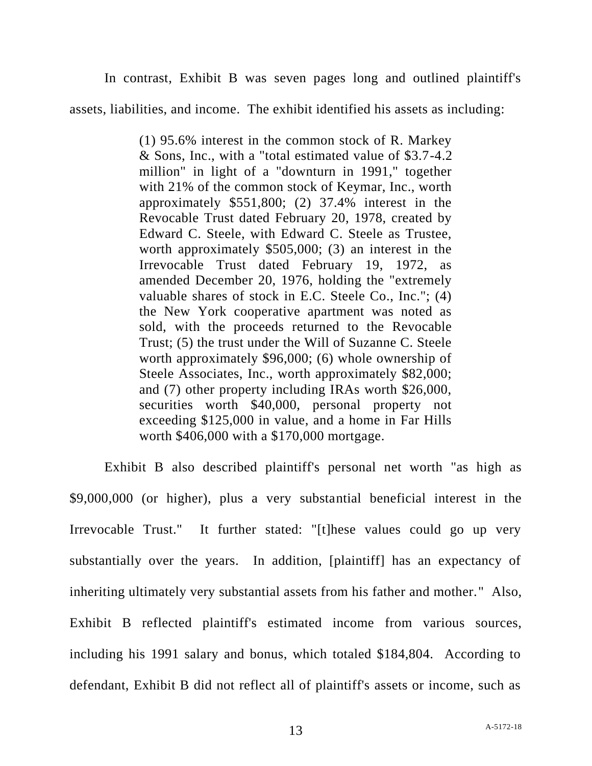In contrast, Exhibit B was seven pages long and outlined plaintiff's

assets, liabilities, and income. The exhibit identified his assets as including:

(1) 95.6% interest in the common stock of R. Markey & Sons, Inc., with a "total estimated value of \$3.7-4.2 million" in light of a "downturn in 1991," together with 21% of the common stock of Keymar, Inc., worth approximately \$551,800; (2) 37.4% interest in the Revocable Trust dated February 20, 1978, created by Edward C. Steele, with Edward C. Steele as Trustee, worth approximately \$505,000; (3) an interest in the Irrevocable Trust dated February 19, 1972, as amended December 20, 1976, holding the "extremely valuable shares of stock in E.C. Steele Co., Inc."; (4) the New York cooperative apartment was noted as sold, with the proceeds returned to the Revocable Trust; (5) the trust under the Will of Suzanne C. Steele worth approximately \$96,000; (6) whole ownership of Steele Associates, Inc., worth approximately \$82,000; and (7) other property including IRAs worth \$26,000, securities worth \$40,000, personal property not exceeding \$125,000 in value, and a home in Far Hills worth \$406,000 with a \$170,000 mortgage.

Exhibit B also described plaintiff's personal net worth "as high as \$9,000,000 (or higher), plus a very substantial beneficial interest in the Irrevocable Trust." It further stated: "[t]hese values could go up very substantially over the years. In addition, [plaintiff] has an expectancy of inheriting ultimately very substantial assets from his father and mother." Also, Exhibit B reflected plaintiff's estimated income from various sources, including his 1991 salary and bonus, which totaled \$184,804. According to defendant, Exhibit B did not reflect all of plaintiff's assets or income, such as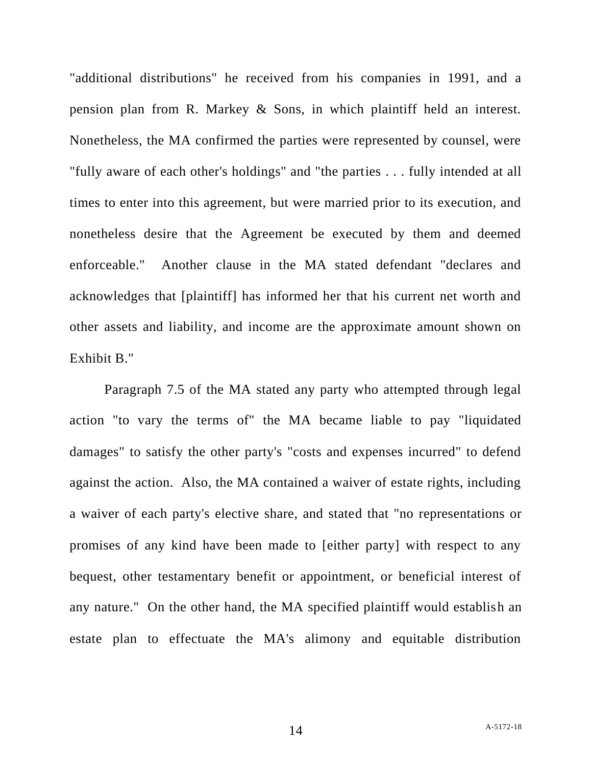"additional distributions" he received from his companies in 1991, and a pension plan from R. Markey & Sons, in which plaintiff held an interest. Nonetheless, the MA confirmed the parties were represented by counsel, were "fully aware of each other's holdings" and "the parties . . . fully intended at all times to enter into this agreement, but were married prior to its execution, and nonetheless desire that the Agreement be executed by them and deemed enforceable." Another clause in the MA stated defendant "declares and acknowledges that [plaintiff] has informed her that his current net worth and other assets and liability, and income are the approximate amount shown on Exhibit B."

Paragraph 7.5 of the MA stated any party who attempted through legal action "to vary the terms of" the MA became liable to pay "liquidated damages" to satisfy the other party's "costs and expenses incurred" to defend against the action. Also, the MA contained a waiver of estate rights, including a waiver of each party's elective share, and stated that "no representations or promises of any kind have been made to [either party] with respect to any bequest, other testamentary benefit or appointment, or beneficial interest of any nature." On the other hand, the MA specified plaintiff would establish an estate plan to effectuate the MA's alimony and equitable distribution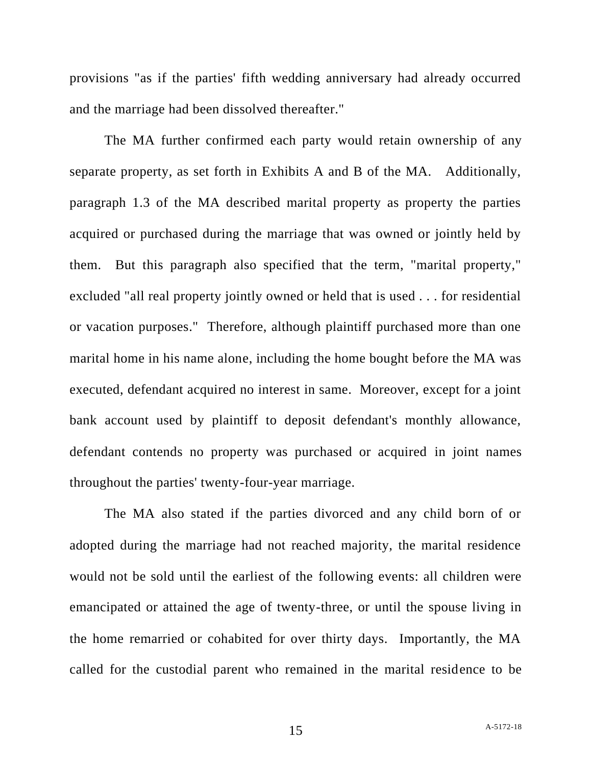provisions "as if the parties' fifth wedding anniversary had already occurred and the marriage had been dissolved thereafter."

The MA further confirmed each party would retain ownership of any separate property, as set forth in Exhibits A and B of the MA. Additionally, paragraph 1.3 of the MA described marital property as property the parties acquired or purchased during the marriage that was owned or jointly held by them. But this paragraph also specified that the term, "marital property," excluded "all real property jointly owned or held that is used . . . for residential or vacation purposes." Therefore, although plaintiff purchased more than one marital home in his name alone, including the home bought before the MA was executed, defendant acquired no interest in same. Moreover, except for a joint bank account used by plaintiff to deposit defendant's monthly allowance, defendant contends no property was purchased or acquired in joint names throughout the parties' twenty-four-year marriage.

The MA also stated if the parties divorced and any child born of or adopted during the marriage had not reached majority, the marital residence would not be sold until the earliest of the following events: all children were emancipated or attained the age of twenty-three, or until the spouse living in the home remarried or cohabited for over thirty days. Importantly, the MA called for the custodial parent who remained in the marital residence to be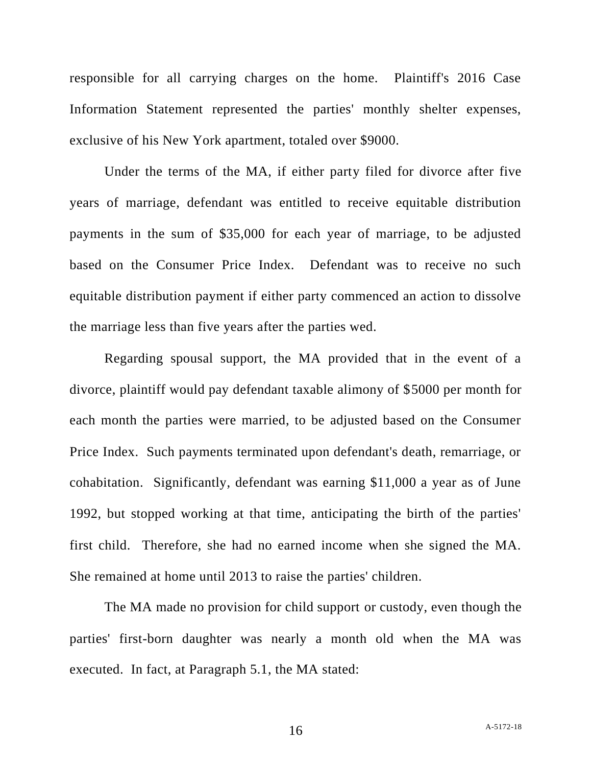responsible for all carrying charges on the home. Plaintiff's 2016 Case Information Statement represented the parties' monthly shelter expenses, exclusive of his New York apartment, totaled over \$9000.

Under the terms of the MA, if either party filed for divorce after five years of marriage, defendant was entitled to receive equitable distribution payments in the sum of \$35,000 for each year of marriage, to be adjusted based on the Consumer Price Index. Defendant was to receive no such equitable distribution payment if either party commenced an action to dissolve the marriage less than five years after the parties wed.

Regarding spousal support, the MA provided that in the event of a divorce, plaintiff would pay defendant taxable alimony of \$5000 per month for each month the parties were married, to be adjusted based on the Consumer Price Index. Such payments terminated upon defendant's death, remarriage, or cohabitation. Significantly, defendant was earning \$11,000 a year as of June 1992, but stopped working at that time, anticipating the birth of the parties' first child. Therefore, she had no earned income when she signed the MA. She remained at home until 2013 to raise the parties' children.

The MA made no provision for child support or custody, even though the parties' first-born daughter was nearly a month old when the MA was executed. In fact, at Paragraph 5.1, the MA stated: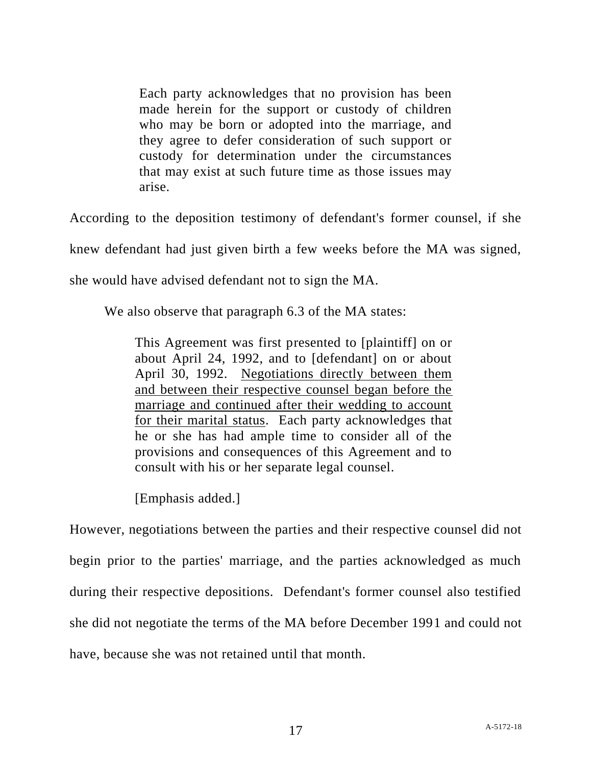Each party acknowledges that no provision has been made herein for the support or custody of children who may be born or adopted into the marriage, and they agree to defer consideration of such support or custody for determination under the circumstances that may exist at such future time as those issues may arise.

According to the deposition testimony of defendant's former counsel, if she

knew defendant had just given birth a few weeks before the MA was signed,

she would have advised defendant not to sign the MA.

We also observe that paragraph 6.3 of the MA states:

This Agreement was first presented to [plaintiff] on or about April 24, 1992, and to [defendant] on or about April 30, 1992. Negotiations directly between them and between their respective counsel began before the marriage and continued after their wedding to account for their marital status. Each party acknowledges that he or she has had ample time to consider all of the provisions and consequences of this Agreement and to consult with his or her separate legal counsel.

[Emphasis added.]

However, negotiations between the parties and their respective counsel did not begin prior to the parties' marriage, and the parties acknowledged as much during their respective depositions. Defendant's former counsel also testified she did not negotiate the terms of the MA before December 1991 and could not have, because she was not retained until that month.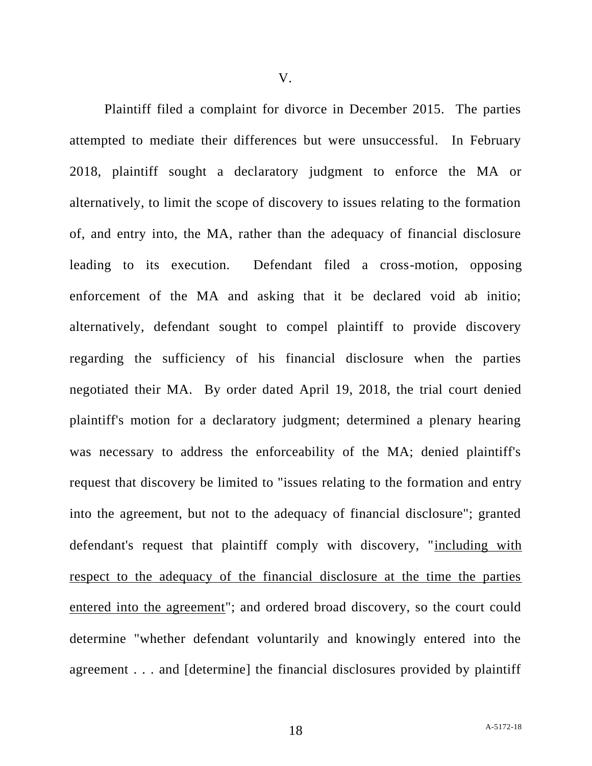Plaintiff filed a complaint for divorce in December 2015. The parties attempted to mediate their differences but were unsuccessful. In February 2018, plaintiff sought a declaratory judgment to enforce the MA or alternatively, to limit the scope of discovery to issues relating to the formation of, and entry into, the MA, rather than the adequacy of financial disclosure leading to its execution. Defendant filed a cross-motion, opposing enforcement of the MA and asking that it be declared void ab initio; alternatively, defendant sought to compel plaintiff to provide discovery regarding the sufficiency of his financial disclosure when the parties negotiated their MA. By order dated April 19, 2018, the trial court denied plaintiff's motion for a declaratory judgment; determined a plenary hearing was necessary to address the enforceability of the MA; denied plaintiff's request that discovery be limited to "issues relating to the formation and entry into the agreement, but not to the adequacy of financial disclosure"; granted defendant's request that plaintiff comply with discovery, "including with respect to the adequacy of the financial disclosure at the time the parties entered into the agreement"; and ordered broad discovery, so the court could determine "whether defendant voluntarily and knowingly entered into the agreement . . . and [determine] the financial disclosures provided by plaintiff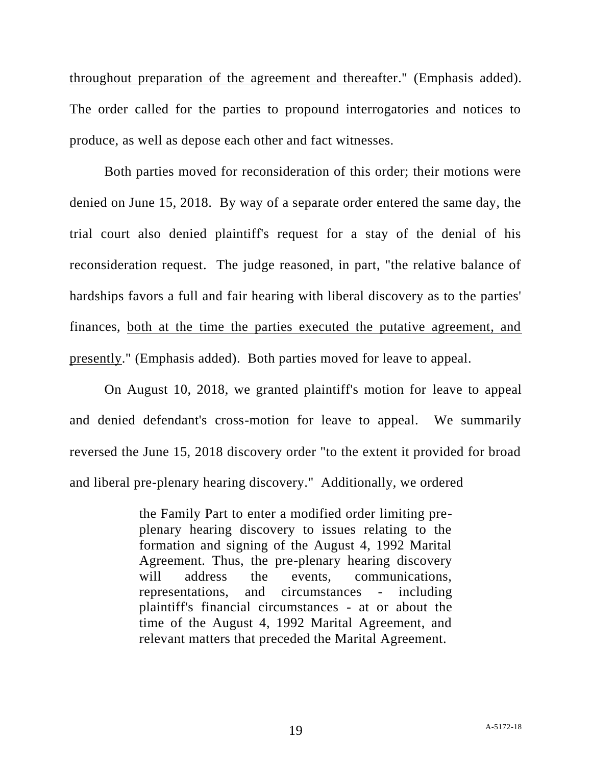throughout preparation of the agreement and thereafter." (Emphasis added). The order called for the parties to propound interrogatories and notices to produce, as well as depose each other and fact witnesses.

Both parties moved for reconsideration of this order; their motions were denied on June 15, 2018. By way of a separate order entered the same day, the trial court also denied plaintiff's request for a stay of the denial of his reconsideration request. The judge reasoned, in part, "the relative balance of hardships favors a full and fair hearing with liberal discovery as to the parties' finances, both at the time the parties executed the putative agreement, and presently." (Emphasis added). Both parties moved for leave to appeal.

On August 10, 2018, we granted plaintiff's motion for leave to appeal and denied defendant's cross-motion for leave to appeal. We summarily reversed the June 15, 2018 discovery order "to the extent it provided for broad and liberal pre-plenary hearing discovery." Additionally, we ordered

> the Family Part to enter a modified order limiting preplenary hearing discovery to issues relating to the formation and signing of the August 4, 1992 Marital Agreement. Thus, the pre-plenary hearing discovery will address the events, communications, representations, and circumstances - including plaintiff's financial circumstances - at or about the time of the August 4, 1992 Marital Agreement, and relevant matters that preceded the Marital Agreement.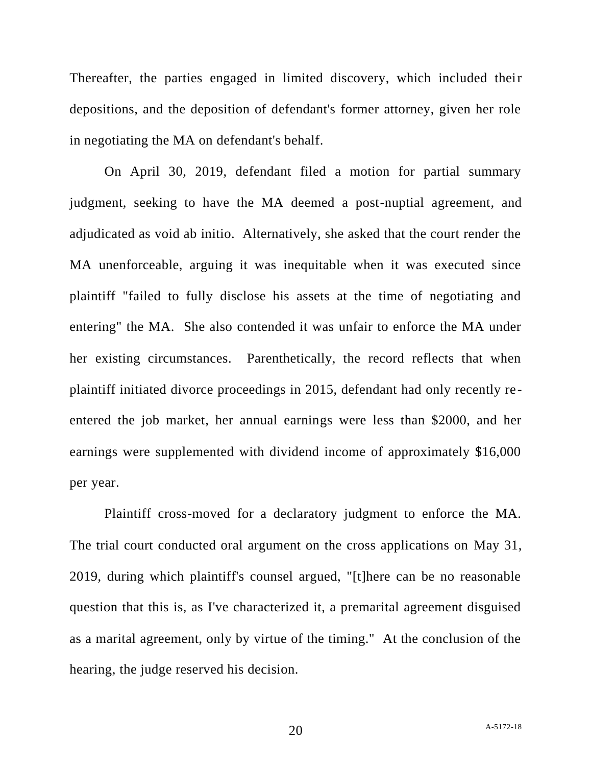Thereafter, the parties engaged in limited discovery, which included their depositions, and the deposition of defendant's former attorney, given her role in negotiating the MA on defendant's behalf.

On April 30, 2019, defendant filed a motion for partial summary judgment, seeking to have the MA deemed a post-nuptial agreement, and adjudicated as void ab initio. Alternatively, she asked that the court render the MA unenforceable, arguing it was inequitable when it was executed since plaintiff "failed to fully disclose his assets at the time of negotiating and entering" the MA. She also contended it was unfair to enforce the MA under her existing circumstances. Parenthetically, the record reflects that when plaintiff initiated divorce proceedings in 2015, defendant had only recently reentered the job market, her annual earnings were less than \$2000, and her earnings were supplemented with dividend income of approximately \$16,000 per year.

Plaintiff cross-moved for a declaratory judgment to enforce the MA. The trial court conducted oral argument on the cross applications on May 31, 2019, during which plaintiff's counsel argued, "[t]here can be no reasonable question that this is, as I've characterized it, a premarital agreement disguised as a marital agreement, only by virtue of the timing." At the conclusion of the hearing, the judge reserved his decision.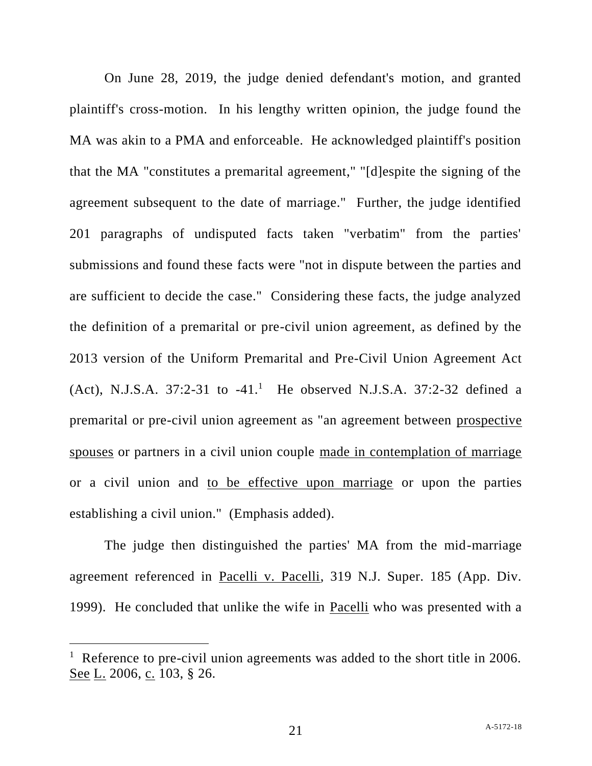On June 28, 2019, the judge denied defendant's motion, and granted plaintiff's cross-motion. In his lengthy written opinion, the judge found the MA was akin to a PMA and enforceable. He acknowledged plaintiff's position that the MA "constitutes a premarital agreement," "[d]espite the signing of the agreement subsequent to the date of marriage." Further, the judge identified 201 paragraphs of undisputed facts taken "verbatim" from the parties' submissions and found these facts were "not in dispute between the parties and are sufficient to decide the case." Considering these facts, the judge analyzed the definition of a premarital or pre-civil union agreement, as defined by the 2013 version of the Uniform Premarital and Pre-Civil Union Agreement Act  $(Act)$ , N.J.S.A. 37:2-31 to -41.<sup>1</sup> He observed N.J.S.A. 37:2-32 defined a premarital or pre-civil union agreement as "an agreement between prospective spouses or partners in a civil union couple made in contemplation of marriage or a civil union and to be effective upon marriage or upon the parties establishing a civil union." (Emphasis added).

The judge then distinguished the parties' MA from the mid-marriage agreement referenced in Pacelli v. Pacelli, 319 N.J. Super. 185 (App. Div. 1999). He concluded that unlike the wife in Pacelli who was presented with a

<sup>&</sup>lt;sup>1</sup> Reference to pre-civil union agreements was added to the short title in 2006. See L. 2006, c. 103, § 26.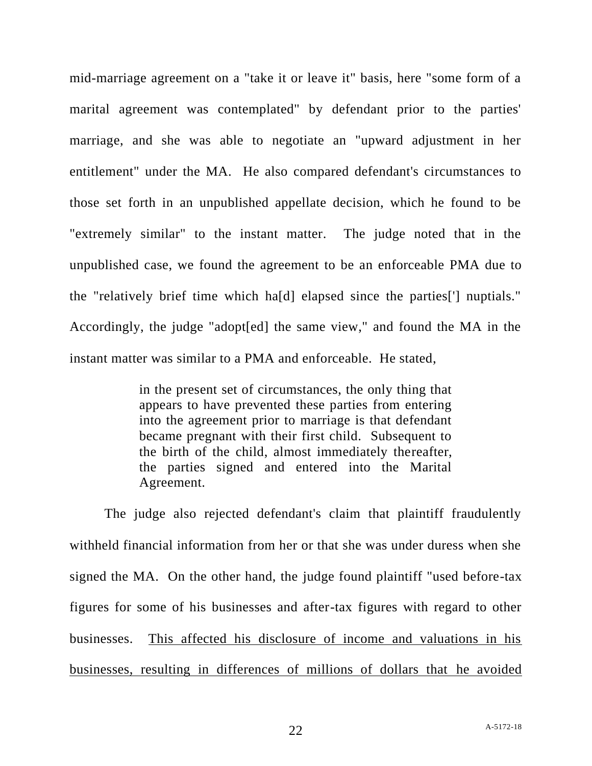mid-marriage agreement on a "take it or leave it" basis, here "some form of a marital agreement was contemplated" by defendant prior to the parties' marriage, and she was able to negotiate an "upward adjustment in her entitlement" under the MA. He also compared defendant's circumstances to those set forth in an unpublished appellate decision, which he found to be "extremely similar" to the instant matter. The judge noted that in the unpublished case, we found the agreement to be an enforceable PMA due to the "relatively brief time which ha[d] elapsed since the parties['] nuptials." Accordingly, the judge "adopt[ed] the same view," and found the MA in the instant matter was similar to a PMA and enforceable. He stated,

> in the present set of circumstances, the only thing that appears to have prevented these parties from entering into the agreement prior to marriage is that defendant became pregnant with their first child. Subsequent to the birth of the child, almost immediately thereafter, the parties signed and entered into the Marital Agreement.

The judge also rejected defendant's claim that plaintiff fraudulently withheld financial information from her or that she was under duress when she signed the MA. On the other hand, the judge found plaintiff "used before-tax figures for some of his businesses and after-tax figures with regard to other businesses. This affected his disclosure of income and valuations in his businesses, resulting in differences of millions of dollars that he avoided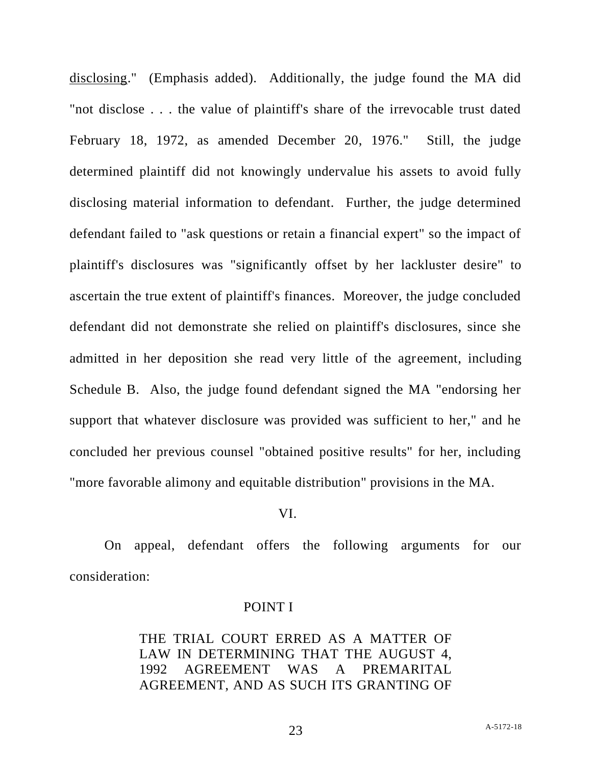disclosing." (Emphasis added). Additionally, the judge found the MA did "not disclose . . . the value of plaintiff's share of the irrevocable trust dated February 18, 1972, as amended December 20, 1976." Still, the judge determined plaintiff did not knowingly undervalue his assets to avoid fully disclosing material information to defendant. Further, the judge determined defendant failed to "ask questions or retain a financial expert" so the impact of plaintiff's disclosures was "significantly offset by her lackluster desire" to ascertain the true extent of plaintiff's finances. Moreover, the judge concluded defendant did not demonstrate she relied on plaintiff's disclosures, since she admitted in her deposition she read very little of the agreement, including Schedule B. Also, the judge found defendant signed the MA "endorsing her support that whatever disclosure was provided was sufficient to her," and he concluded her previous counsel "obtained positive results" for her, including "more favorable alimony and equitable distribution" provisions in the MA.

#### VI.

On appeal, defendant offers the following arguments for our consideration:

#### POINT I

THE TRIAL COURT ERRED AS A MATTER OF LAW IN DETERMINING THAT THE AUGUST 4, 1992 AGREEMENT WAS A PREMARITAL AGREEMENT, AND AS SUCH ITS GRANTING OF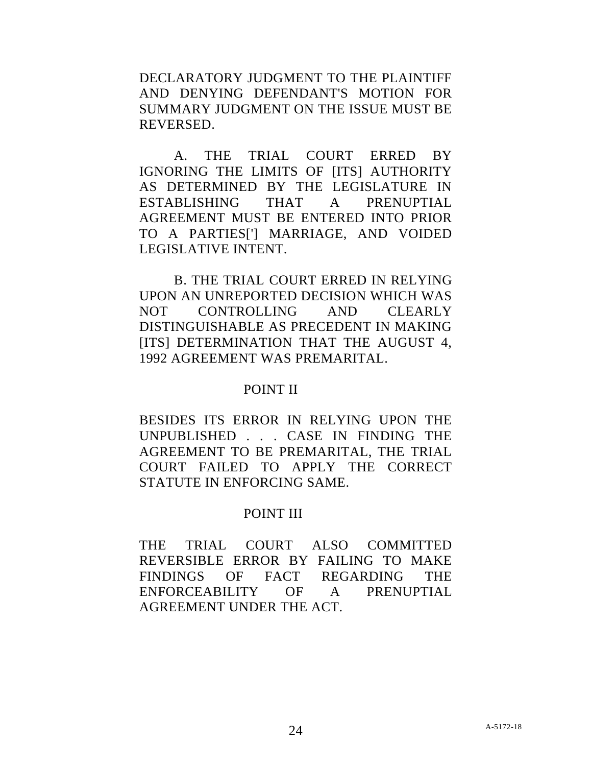DECLARATORY JUDGMENT TO THE PLAINTIFF AND DENYING DEFENDANT'S MOTION FOR SUMMARY JUDGMENT ON THE ISSUE MUST BE REVERSED.

A. THE TRIAL COURT ERRED BY IGNORING THE LIMITS OF [ITS] AUTHORITY AS DETERMINED BY THE LEGISLATURE IN ESTABLISHING THAT A PRENUPTIAL AGREEMENT MUST BE ENTERED INTO PRIOR TO A PARTIES['] MARRIAGE, AND VOIDED LEGISLATIVE INTENT.

B. THE TRIAL COURT ERRED IN RELYING UPON AN UNREPORTED DECISION WHICH WAS NOT CONTROLLING AND CLEARLY DISTINGUISHABLE AS PRECEDENT IN MAKING [ITS] DETERMINATION THAT THE AUGUST 4, 1992 AGREEMENT WAS PREMARITAL.

### POINT II

BESIDES ITS ERROR IN RELYING UPON THE UNPUBLISHED . . . CASE IN FINDING THE AGREEMENT TO BE PREMARITAL, THE TRIAL COURT FAILED TO APPLY THE CORRECT STATUTE IN ENFORCING SAME.

### POINT III

THE TRIAL COURT ALSO COMMITTED REVERSIBLE ERROR BY FAILING TO MAKE FINDINGS OF FACT REGARDING THE ENFORCEABILITY OF A PRENUPTIAL AGREEMENT UNDER THE ACT.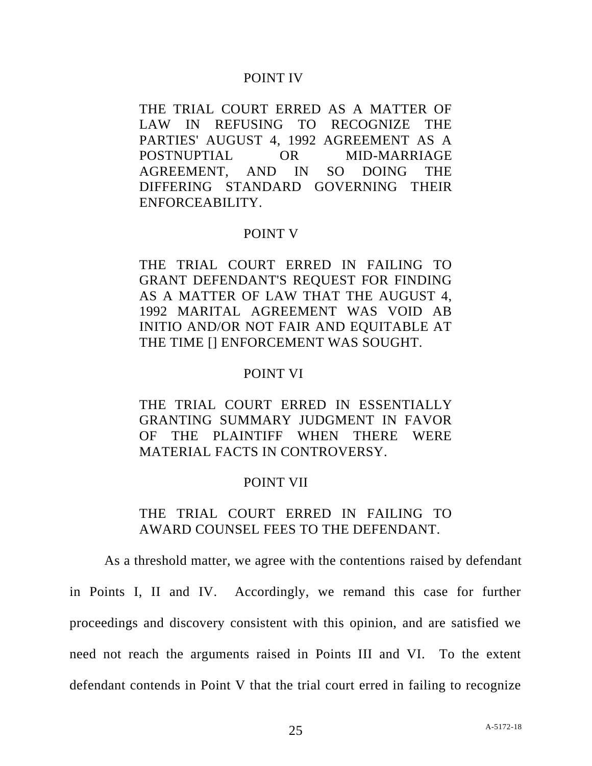#### POINT IV

THE TRIAL COURT ERRED AS A MATTER OF LAW IN REFUSING TO RECOGNIZE THE PARTIES' AUGUST 4, 1992 AGREEMENT AS A POSTNUPTIAL OR MID-MARRIAGE AGREEMENT, AND IN SO DOING THE DIFFERING STANDARD GOVERNING THEIR ENFORCEABILITY.

#### POINT V

THE TRIAL COURT ERRED IN FAILING TO GRANT DEFENDANT'S REQUEST FOR FINDING AS A MATTER OF LAW THAT THE AUGUST 4, 1992 MARITAL AGREEMENT WAS VOID AB INITIO AND/OR NOT FAIR AND EQUITABLE AT THE TIME [] ENFORCEMENT WAS SOUGHT.

#### POINT VI

THE TRIAL COURT ERRED IN ESSENTIALLY GRANTING SUMMARY JUDGMENT IN FAVOR OF THE PLAINTIFF WHEN THERE WERE MATERIAL FACTS IN CONTROVERSY.

### POINT VII

## THE TRIAL COURT ERRED IN FAILING TO AWARD COUNSEL FEES TO THE DEFENDANT.

As a threshold matter, we agree with the contentions raised by defendant in Points I, II and IV. Accordingly, we remand this case for further proceedings and discovery consistent with this opinion, and are satisfied we need not reach the arguments raised in Points III and VI. To the extent defendant contends in Point V that the trial court erred in failing to recognize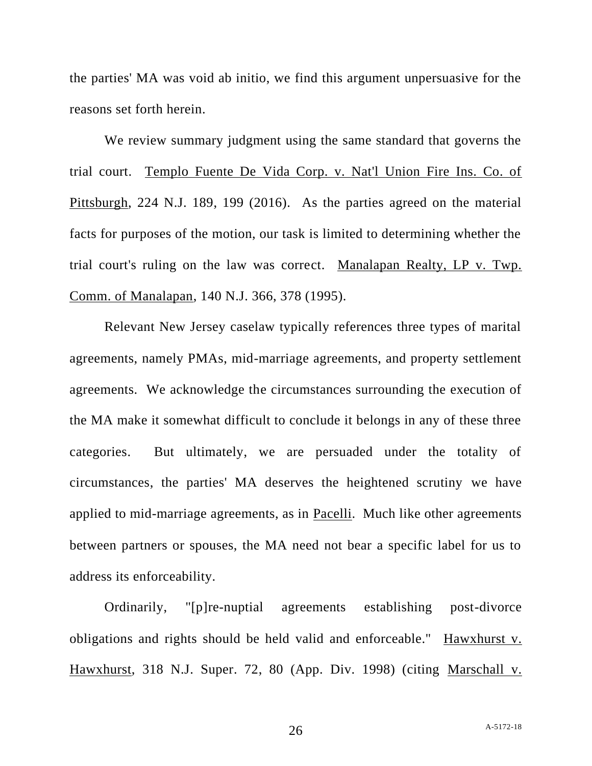the parties' MA was void ab initio, we find this argument unpersuasive for the reasons set forth herein.

We review summary judgment using the same standard that governs the trial court. Templo Fuente De Vida Corp. v. Nat'l Union Fire Ins. Co. of Pittsburgh, 224 N.J. 189, 199 (2016). As the parties agreed on the material facts for purposes of the motion, our task is limited to determining whether the trial court's ruling on the law was correct. Manalapan Realty, LP v. Twp. Comm. of Manalapan, 140 N.J. 366, 378 (1995).

Relevant New Jersey caselaw typically references three types of marital agreements, namely PMAs, mid-marriage agreements, and property settlement agreements. We acknowledge the circumstances surrounding the execution of the MA make it somewhat difficult to conclude it belongs in any of these three categories. But ultimately, we are persuaded under the totality of circumstances, the parties' MA deserves the heightened scrutiny we have applied to mid-marriage agreements, as in Pacelli. Much like other agreements between partners or spouses, the MA need not bear a specific label for us to address its enforceability.

Ordinarily, "[p]re-nuptial agreements establishing post-divorce obligations and rights should be held valid and enforceable." Hawxhurst v. Hawxhurst, 318 N.J. Super. 72, 80 (App. Div. 1998) (citing Marschall v.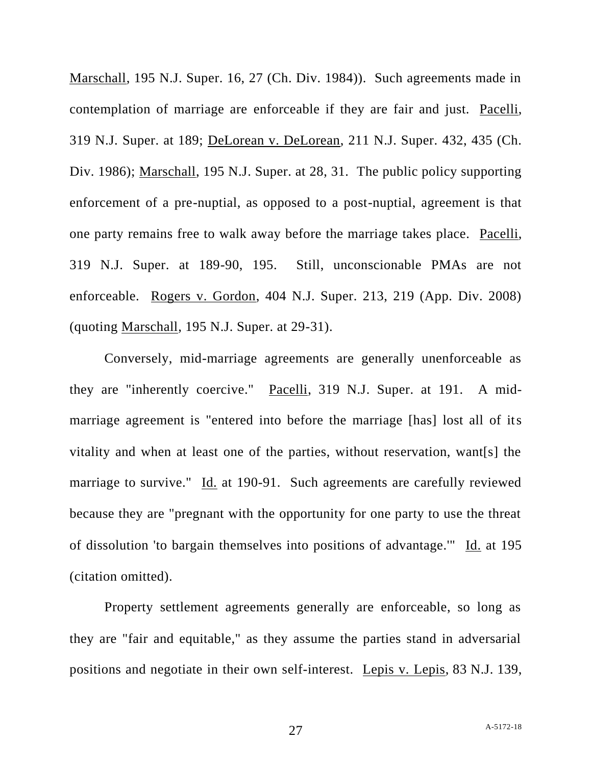Marschall, 195 N.J. Super. 16, 27 (Ch. Div. 1984)). Such agreements made in contemplation of marriage are enforceable if they are fair and just. Pacelli, 319 N.J. Super. at 189; DeLorean v. DeLorean, 211 N.J. Super. 432, 435 (Ch. Div. 1986); Marschall, 195 N.J. Super. at 28, 31. The public policy supporting enforcement of a pre-nuptial, as opposed to a post-nuptial, agreement is that one party remains free to walk away before the marriage takes place. Pacelli, 319 N.J. Super. at 189-90, 195. Still, unconscionable PMAs are not enforceable. Rogers v. Gordon, 404 N.J. Super. 213, 219 (App. Div. 2008) (quoting Marschall, 195 N.J. Super. at 29-31).

Conversely, mid-marriage agreements are generally unenforceable as they are "inherently coercive." Pacelli, 319 N.J. Super. at 191. A midmarriage agreement is "entered into before the marriage [has] lost all of its vitality and when at least one of the parties, without reservation, want[s] the marriage to survive." Id. at 190-91. Such agreements are carefully reviewed because they are "pregnant with the opportunity for one party to use the threat of dissolution 'to bargain themselves into positions of advantage.'" Id. at 195 (citation omitted).

Property settlement agreements generally are enforceable, so long as they are "fair and equitable," as they assume the parties stand in adversarial positions and negotiate in their own self-interest. Lepis v. Lepis, 83 N.J. 139,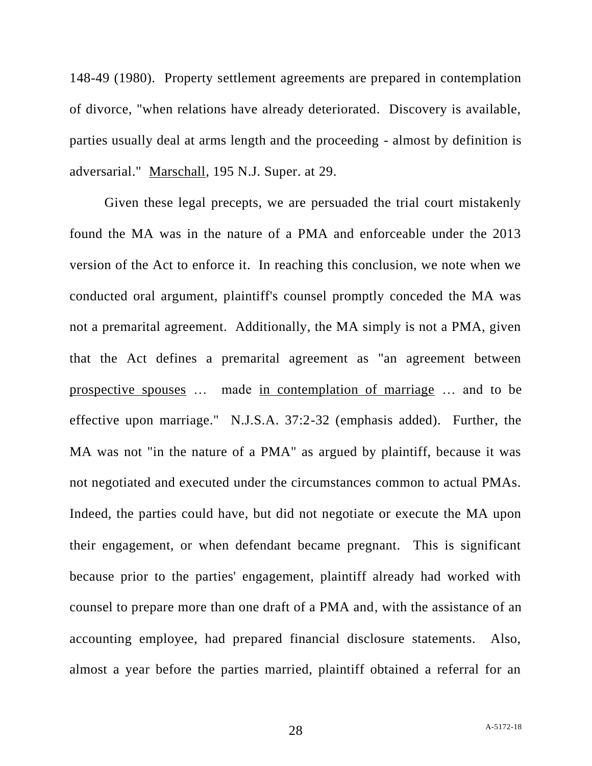148-49 (1980). Property settlement agreements are prepared in contemplation of divorce, "when relations have already deteriorated. Discovery is available, parties usually deal at arms length and the proceeding - almost by definition is adversarial." Marschall, 195 N.J. Super. at 29.

Given these legal precepts, we are persuaded the trial court mistakenly found the MA was in the nature of a PMA and enforceable under the 2013 version of the Act to enforce it. In reaching this conclusion, we note when we conducted oral argument, plaintiff's counsel promptly conceded the MA was not a premarital agreement. Additionally, the MA simply is not a PMA, given that the Act defines a premarital agreement as "an agreement between prospective spouses … made in contemplation of marriage … and to be effective upon marriage." N.J.S.A. 37:2-32 (emphasis added). Further, the MA was not "in the nature of a PMA" as argued by plaintiff, because it was not negotiated and executed under the circumstances common to actual PMAs. Indeed, the parties could have, but did not negotiate or execute the MA upon their engagement, or when defendant became pregnant. This is significant because prior to the parties' engagement, plaintiff already had worked with counsel to prepare more than one draft of a PMA and, with the assistance of an accounting employee, had prepared financial disclosure statements. Also, almost a year before the parties married, plaintiff obtained a referral for an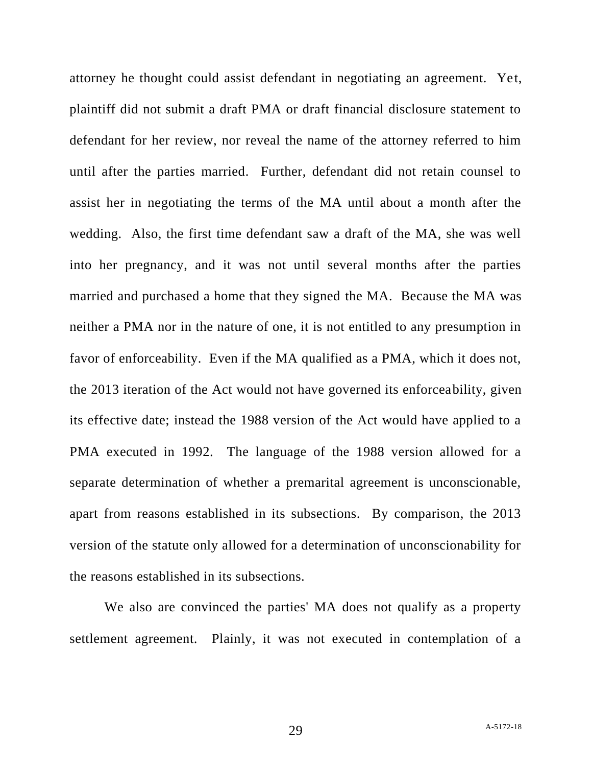attorney he thought could assist defendant in negotiating an agreement. Yet, plaintiff did not submit a draft PMA or draft financial disclosure statement to defendant for her review, nor reveal the name of the attorney referred to him until after the parties married. Further, defendant did not retain counsel to assist her in negotiating the terms of the MA until about a month after the wedding. Also, the first time defendant saw a draft of the MA, she was well into her pregnancy, and it was not until several months after the parties married and purchased a home that they signed the MA. Because the MA was neither a PMA nor in the nature of one, it is not entitled to any presumption in favor of enforceability. Even if the MA qualified as a PMA, which it does not, the 2013 iteration of the Act would not have governed its enforceability, given its effective date; instead the 1988 version of the Act would have applied to a PMA executed in 1992. The language of the 1988 version allowed for a separate determination of whether a premarital agreement is unconscionable, apart from reasons established in its subsections. By comparison, the 2013 version of the statute only allowed for a determination of unconscionability for the reasons established in its subsections.

We also are convinced the parties' MA does not qualify as a property settlement agreement. Plainly, it was not executed in contemplation of a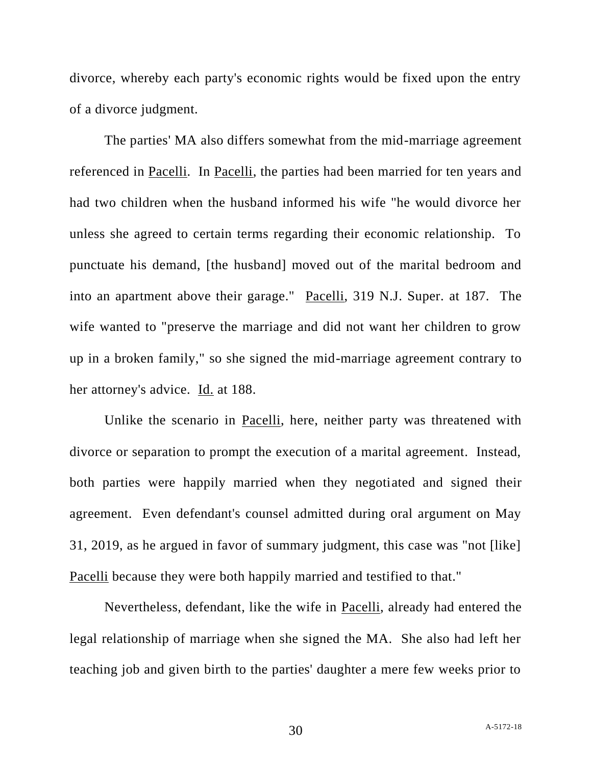divorce, whereby each party's economic rights would be fixed upon the entry of a divorce judgment.

The parties' MA also differs somewhat from the mid-marriage agreement referenced in Pacelli. In Pacelli, the parties had been married for ten years and had two children when the husband informed his wife "he would divorce her unless she agreed to certain terms regarding their economic relationship. To punctuate his demand, [the husband] moved out of the marital bedroom and into an apartment above their garage." Pacelli, 319 N.J. Super. at 187. The wife wanted to "preserve the marriage and did not want her children to grow up in a broken family," so she signed the mid-marriage agreement contrary to her attorney's advice. Id. at 188.

Unlike the scenario in Pacelli, here, neither party was threatened with divorce or separation to prompt the execution of a marital agreement. Instead, both parties were happily married when they negotiated and signed their agreement. Even defendant's counsel admitted during oral argument on May 31, 2019, as he argued in favor of summary judgment, this case was "not [like] Pacelli because they were both happily married and testified to that."

Nevertheless, defendant, like the wife in Pacelli, already had entered the legal relationship of marriage when she signed the MA. She also had left her teaching job and given birth to the parties' daughter a mere few weeks prior to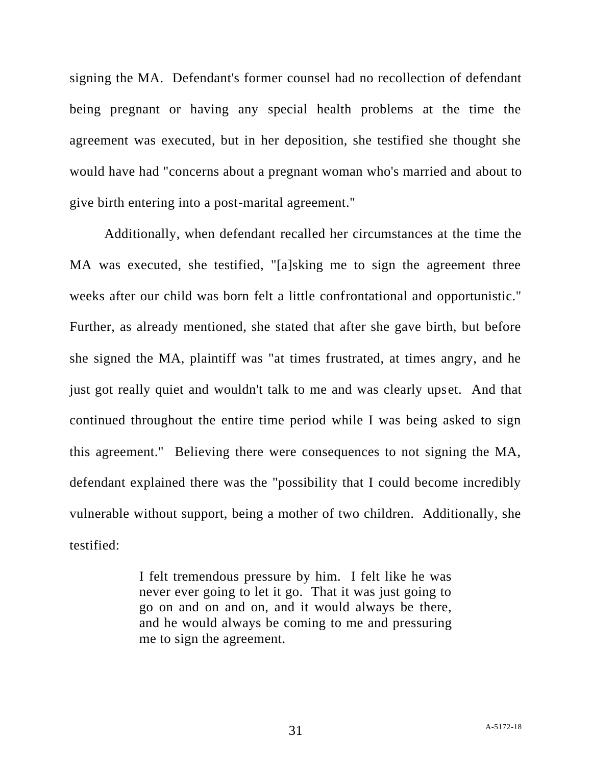signing the MA. Defendant's former counsel had no recollection of defendant being pregnant or having any special health problems at the time the agreement was executed, but in her deposition, she testified she thought she would have had "concerns about a pregnant woman who's married and about to give birth entering into a post-marital agreement."

Additionally, when defendant recalled her circumstances at the time the MA was executed, she testified, "[a]sking me to sign the agreement three weeks after our child was born felt a little confrontational and opportunistic." Further, as already mentioned, she stated that after she gave birth, but before she signed the MA, plaintiff was "at times frustrated, at times angry, and he just got really quiet and wouldn't talk to me and was clearly upset. And that continued throughout the entire time period while I was being asked to sign this agreement." Believing there were consequences to not signing the MA, defendant explained there was the "possibility that I could become incredibly vulnerable without support, being a mother of two children. Additionally, she testified:

> I felt tremendous pressure by him. I felt like he was never ever going to let it go. That it was just going to go on and on and on, and it would always be there, and he would always be coming to me and pressuring me to sign the agreement.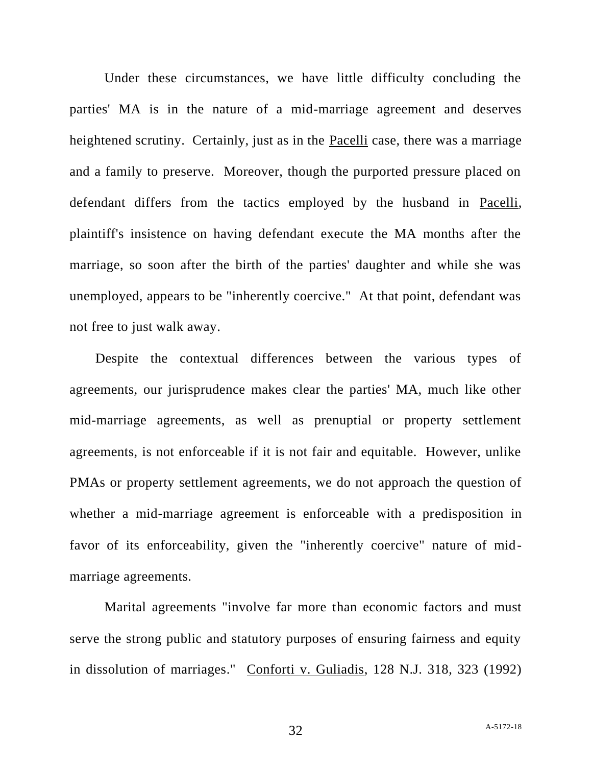Under these circumstances, we have little difficulty concluding the parties' MA is in the nature of a mid-marriage agreement and deserves heightened scrutiny. Certainly, just as in the Pacelli case, there was a marriage and a family to preserve. Moreover, though the purported pressure placed on defendant differs from the tactics employed by the husband in Pacelli, plaintiff's insistence on having defendant execute the MA months after the marriage, so soon after the birth of the parties' daughter and while she was unemployed, appears to be "inherently coercive." At that point, defendant was not free to just walk away.

Despite the contextual differences between the various types of agreements, our jurisprudence makes clear the parties' MA, much like other mid-marriage agreements, as well as prenuptial or property settlement agreements, is not enforceable if it is not fair and equitable. However, unlike PMAs or property settlement agreements, we do not approach the question of whether a mid-marriage agreement is enforceable with a predisposition in favor of its enforceability, given the "inherently coercive" nature of midmarriage agreements.

Marital agreements "involve far more than economic factors and must serve the strong public and statutory purposes of ensuring fairness and equity in dissolution of marriages." Conforti v. Guliadis, 128 N.J. 318, 323 (1992)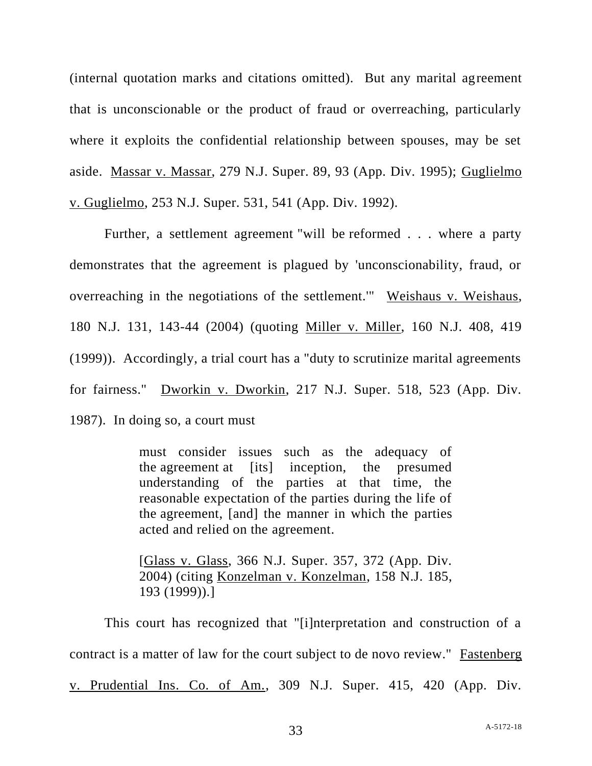(internal quotation marks and citations omitted). But any marital agreement that is unconscionable or the product of fraud or overreaching, particularly where it exploits the confidential relationship between spouses, may be set aside. Massar v. Massar, 279 N.J. Super. 89, 93 (App. Div. 1995); Guglielmo v. Guglielmo, 253 N.J. Super. 531, 541 (App. Div. 1992).

Further, a settlement agreement "will be reformed . . . where a party demonstrates that the agreement is plagued by 'unconscionability, fraud, or overreaching in the negotiations of the settlement.'" Weishaus v. Weishaus, 180 N.J. 131, 143-44 (2004) (quoting Miller v. Miller, 160 N.J. 408, 419 (1999)). Accordingly, a trial court has a "duty to scrutinize marital agreements for fairness." Dworkin v. Dworkin, 217 N.J. Super. 518, 523 (App. Div. 1987). In doing so, a court must

> must consider issues such as the adequacy of the agreement at [its] inception, the presumed understanding of the parties at that time, the reasonable expectation of the parties during the life of the agreement, [and] the manner in which the parties acted and relied on the agreement.

> [Glass v. Glass, 366 N.J. Super. 357, 372 (App. Div. 2004) (citing Konzelman v. Konzelman, 158 N.J. 185, 193 (1999)).]

This court has recognized that "[i]nterpretation and construction of a contract is a matter of law for the court subject to de novo review." Fastenberg v. Prudential Ins. Co. of Am., 309 N.J. Super. 415, 420 (App. Div.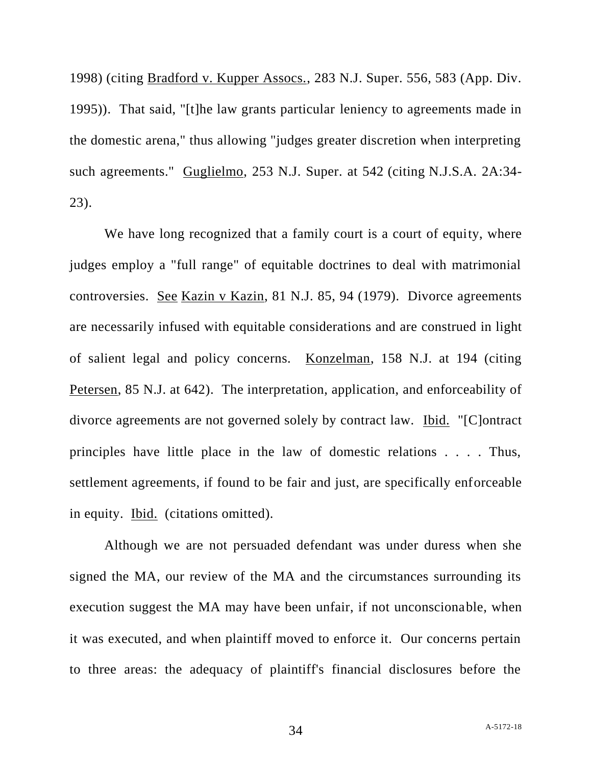1998) (citing Bradford v. Kupper Assocs., 283 N.J. Super. 556, 583 (App. Div. 1995)). That said, "[t]he law grants particular leniency to agreements made in the domestic arena," thus allowing "judges greater discretion when interpreting such agreements." Guglielmo, 253 N.J. Super. at 542 (citing N.J.S.A. 2A:34- 23).

We have long recognized that a family court is a court of equity, where judges employ a "full range" of equitable doctrines to deal with matrimonial controversies. See Kazin v Kazin, 81 N.J. 85, 94 (1979). Divorce agreements are necessarily infused with equitable considerations and are construed in light of salient legal and policy concerns. Konzelman, 158 N.J. at 194 (citing Petersen, 85 N.J. at 642). The interpretation, application, and enforceability of divorce agreements are not governed solely by contract law. Ibid. "[C]ontract principles have little place in the law of domestic relations . . . . Thus, settlement agreements, if found to be fair and just, are specifically enforceable in equity. Ibid. (citations omitted).

Although we are not persuaded defendant was under duress when she signed the MA, our review of the MA and the circumstances surrounding its execution suggest the MA may have been unfair, if not unconscionable, when it was executed, and when plaintiff moved to enforce it. Our concerns pertain to three areas: the adequacy of plaintiff's financial disclosures before the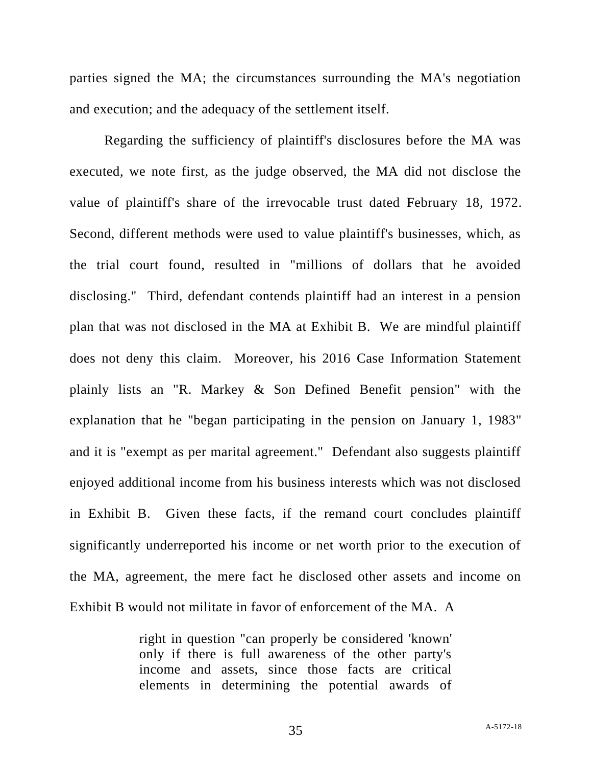parties signed the MA; the circumstances surrounding the MA's negotiation and execution; and the adequacy of the settlement itself.

Regarding the sufficiency of plaintiff's disclosures before the MA was executed, we note first, as the judge observed, the MA did not disclose the value of plaintiff's share of the irrevocable trust dated February 18, 1972. Second, different methods were used to value plaintiff's businesses, which, as the trial court found, resulted in "millions of dollars that he avoided disclosing." Third, defendant contends plaintiff had an interest in a pension plan that was not disclosed in the MA at Exhibit B. We are mindful plaintiff does not deny this claim. Moreover, his 2016 Case Information Statement plainly lists an "R. Markey & Son Defined Benefit pension" with the explanation that he "began participating in the pension on January 1, 1983" and it is "exempt as per marital agreement." Defendant also suggests plaintiff enjoyed additional income from his business interests which was not disclosed in Exhibit B. Given these facts, if the remand court concludes plaintiff significantly underreported his income or net worth prior to the execution of the MA, agreement, the mere fact he disclosed other assets and income on Exhibit B would not militate in favor of enforcement of the MA. A

> right in question "can properly be considered 'known' only if there is full awareness of the other party's income and assets, since those facts are critical elements in determining the potential awards of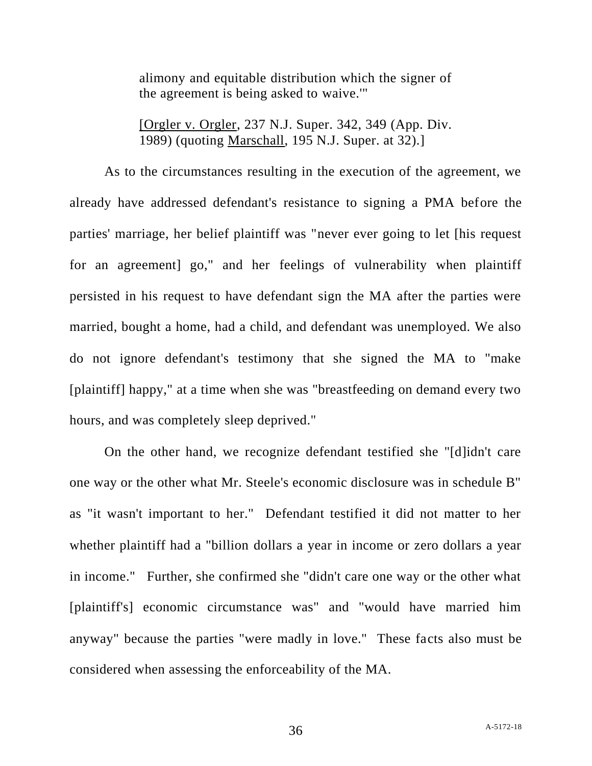alimony and equitable distribution which the signer of the agreement is being asked to waive.'"

[Orgler v. Orgler, 237 N.J. Super. 342, 349 (App. Div. 1989) (quoting Marschall, 195 N.J. Super. at 32).]

As to the circumstances resulting in the execution of the agreement, we already have addressed defendant's resistance to signing a PMA before the parties' marriage, her belief plaintiff was "never ever going to let [his request for an agreement] go," and her feelings of vulnerability when plaintiff persisted in his request to have defendant sign the MA after the parties were married, bought a home, had a child, and defendant was unemployed. We also do not ignore defendant's testimony that she signed the MA to "make [plaintiff] happy," at a time when she was "breastfeeding on demand every two hours, and was completely sleep deprived."

On the other hand, we recognize defendant testified she "[d]idn't care one way or the other what Mr. Steele's economic disclosure was in schedule B" as "it wasn't important to her." Defendant testified it did not matter to her whether plaintiff had a "billion dollars a year in income or zero dollars a year in income." Further, she confirmed she "didn't care one way or the other what [plaintiff's] economic circumstance was" and "would have married him anyway" because the parties "were madly in love." These facts also must be considered when assessing the enforceability of the MA.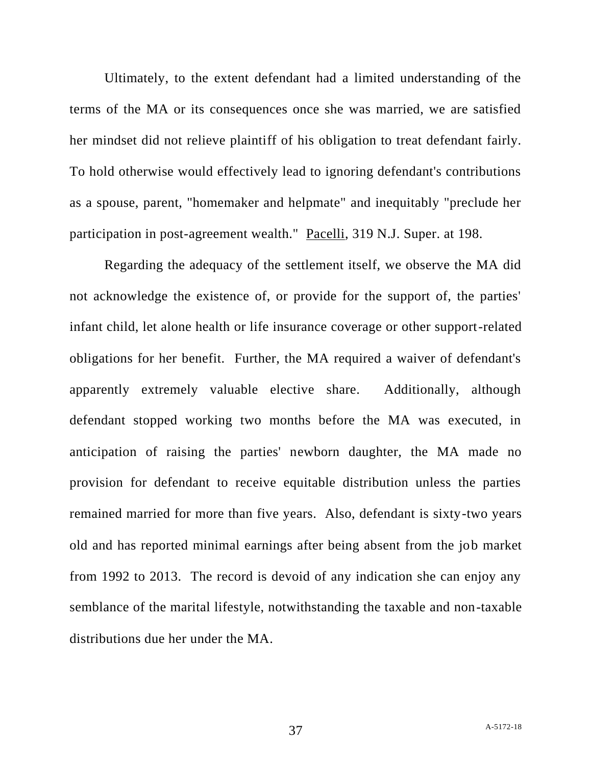Ultimately, to the extent defendant had a limited understanding of the terms of the MA or its consequences once she was married, we are satisfied her mindset did not relieve plaintiff of his obligation to treat defendant fairly. To hold otherwise would effectively lead to ignoring defendant's contributions as a spouse, parent, "homemaker and helpmate" and inequitably "preclude her participation in post-agreement wealth." Pacelli, 319 N.J. Super. at 198.

Regarding the adequacy of the settlement itself, we observe the MA did not acknowledge the existence of, or provide for the support of, the parties' infant child, let alone health or life insurance coverage or other support-related obligations for her benefit. Further, the MA required a waiver of defendant's apparently extremely valuable elective share. Additionally, although defendant stopped working two months before the MA was executed, in anticipation of raising the parties' newborn daughter, the MA made no provision for defendant to receive equitable distribution unless the parties remained married for more than five years. Also, defendant is sixty-two years old and has reported minimal earnings after being absent from the job market from 1992 to 2013. The record is devoid of any indication she can enjoy any semblance of the marital lifestyle, notwithstanding the taxable and non-taxable distributions due her under the MA.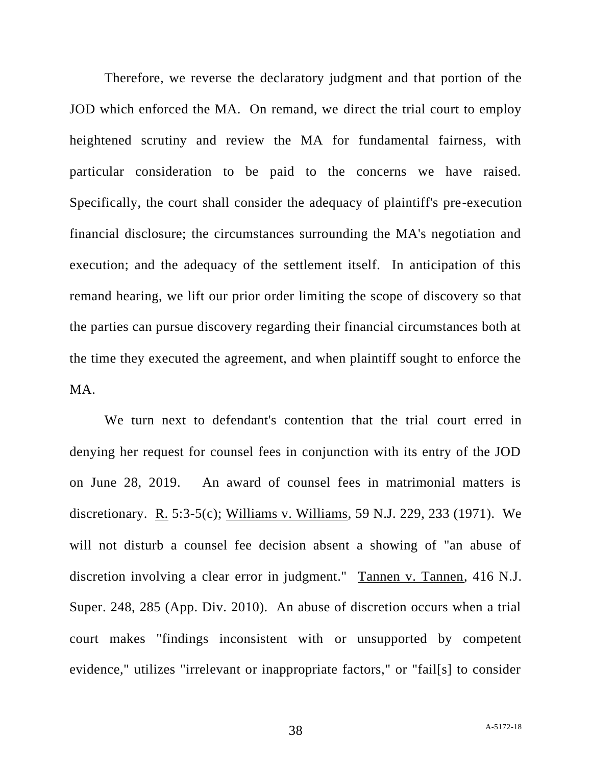Therefore, we reverse the declaratory judgment and that portion of the JOD which enforced the MA. On remand, we direct the trial court to employ heightened scrutiny and review the MA for fundamental fairness, with particular consideration to be paid to the concerns we have raised. Specifically, the court shall consider the adequacy of plaintiff's pre-execution financial disclosure; the circumstances surrounding the MA's negotiation and execution; and the adequacy of the settlement itself. In anticipation of this remand hearing, we lift our prior order limiting the scope of discovery so that the parties can pursue discovery regarding their financial circumstances both at the time they executed the agreement, and when plaintiff sought to enforce the MA.

We turn next to defendant's contention that the trial court erred in denying her request for counsel fees in conjunction with its entry of the JOD on June 28, 2019. An award of counsel fees in matrimonial matters is discretionary. R. 5:3-5(c); Williams v. Williams, 59 N.J. 229, 233 (1971). We will not disturb a counsel fee decision absent a showing of "an abuse of discretion involving a clear error in judgment." Tannen v. Tannen, 416 N.J. Super. 248, 285 (App. Div. 2010). An abuse of discretion occurs when a trial court makes "findings inconsistent with or unsupported by competent evidence," utilizes "irrelevant or inappropriate factors," or "fail[s] to consider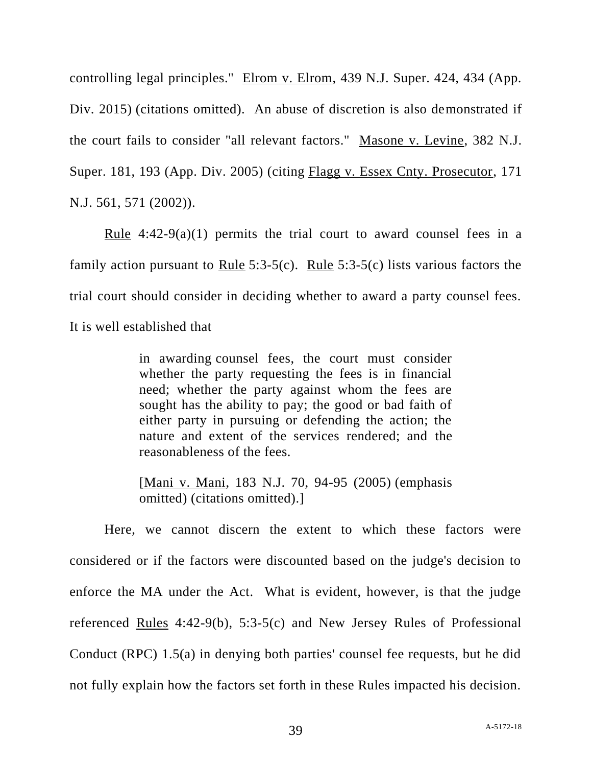controlling legal principles." Elrom v. Elrom, 439 N.J. Super. 424, 434 (App. Div. 2015) (citations omitted). An abuse of discretion is also demonstrated if the court fails to consider "all relevant factors." Masone v. Levine, 382 N.J. Super. 181, 193 (App. Div. 2005) (citing Flagg v. Essex Cnty. Prosecutor, 171 N.J. 561, 571 (2002)).

Rule  $4:42-9(a)(1)$  permits the trial court to award counsel fees in a family action pursuant to <u>Rule</u> 5:3-5(c). Rule 5:3-5(c) lists various factors the trial court should consider in deciding whether to award a party counsel fees. It is well established that

> in awarding counsel fees, the court must consider whether the party requesting the fees is in financial need; whether the party against whom the fees are sought has the ability to pay; the good or bad faith of either party in pursuing or defending the action; the nature and extent of the services rendered; and the reasonableness of the fees.

> [Mani v. Mani, 183 N.J. 70, 94-95 (2005) (emphasis omitted) (citations omitted).]

Here, we cannot discern the extent to which these factors were considered or if the factors were discounted based on the judge's decision to enforce the MA under the Act. What is evident, however, is that the judge referenced Rules 4:42-9(b), 5:3-5(c) and New Jersey Rules of Professional Conduct (RPC) 1.5(a) in denying both parties' counsel fee requests, but he did not fully explain how the factors set forth in these Rules impacted his decision.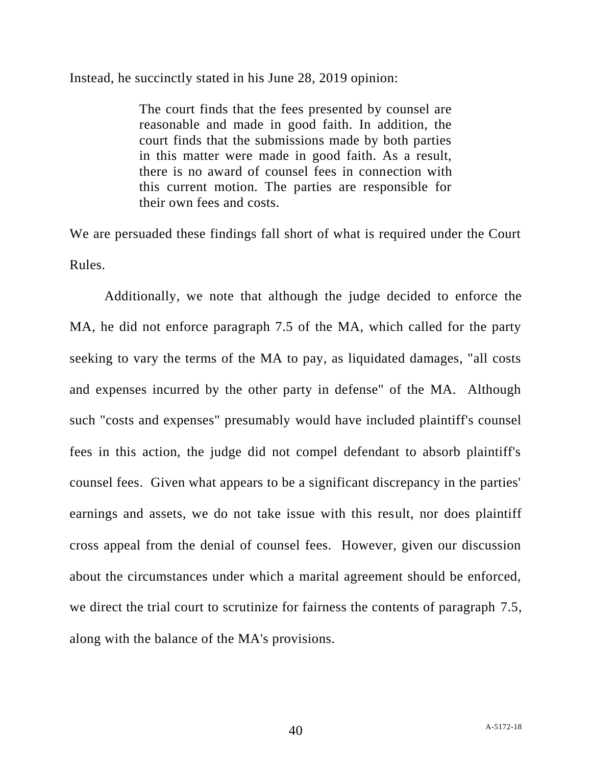### Instead, he succinctly stated in his June 28, 2019 opinion:

The court finds that the fees presented by counsel are reasonable and made in good faith. In addition, the court finds that the submissions made by both parties in this matter were made in good faith. As a result, there is no award of counsel fees in connection with this current motion. The parties are responsible for their own fees and costs.

We are persuaded these findings fall short of what is required under the Court Rules.

Additionally, we note that although the judge decided to enforce the MA, he did not enforce paragraph 7.5 of the MA, which called for the party seeking to vary the terms of the MA to pay, as liquidated damages, "all costs and expenses incurred by the other party in defense" of the MA. Although such "costs and expenses" presumably would have included plaintiff's counsel fees in this action, the judge did not compel defendant to absorb plaintiff's counsel fees. Given what appears to be a significant discrepancy in the parties' earnings and assets, we do not take issue with this result, nor does plaintiff cross appeal from the denial of counsel fees. However, given our discussion about the circumstances under which a marital agreement should be enforced, we direct the trial court to scrutinize for fairness the contents of paragraph 7.5, along with the balance of the MA's provisions.